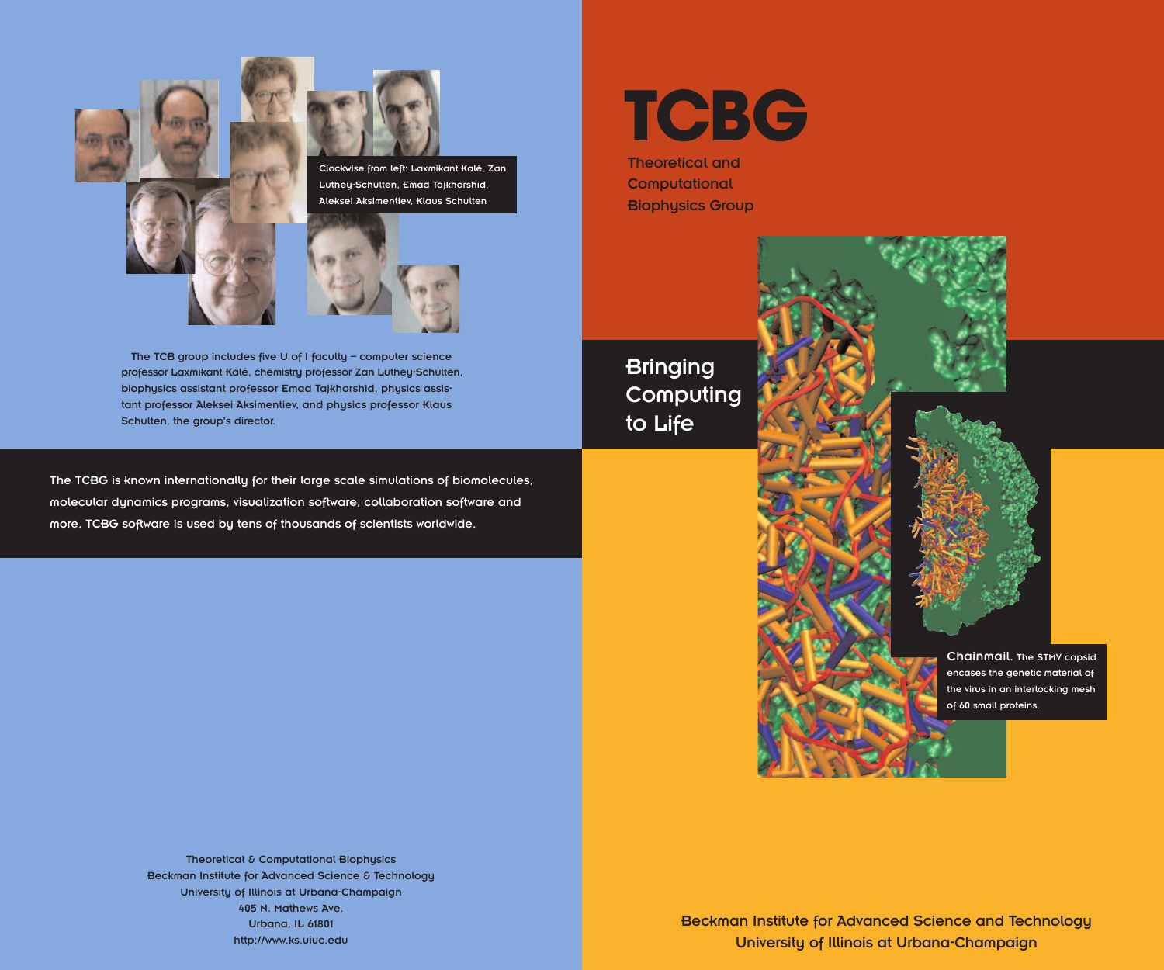



Luthey-Schulten, Emad Tajkhorshid, Aleksei Aksimentiev, Klaus Schulten



The TCB group includes five U of I faculty – computer science professor Laxmikant Kalé, chemistry professor Zan Luthey-Schulten, biophysics assistant professor Emad Tajkhorshid, physics assistant professor Aleksei Aksimentiev, and physics professor Klaus Schulten, the group's director.

The TCBG is known internationally for their large scale simulations of biomolecules, molecular dynamics programs, visualization software, collaboration software and more. TCBG software is used by tens of thousands of scientists worldwide.

**TCBG**

Theoretical and **Computational** Biophysics Group

**Bringing Computing** to Life

> Chainmail. The STMV capsid encases the genetic material of the virus in an interlocking mesh of 60 small proteins.

Theoretical & Computational Biophysics Beckman Institute for Advanced Science & Technology University of Illinois at Urbana-Champaign 405 N. Mathews Ave. Urbana, IL 61801 http://www.ks.uiuc.edu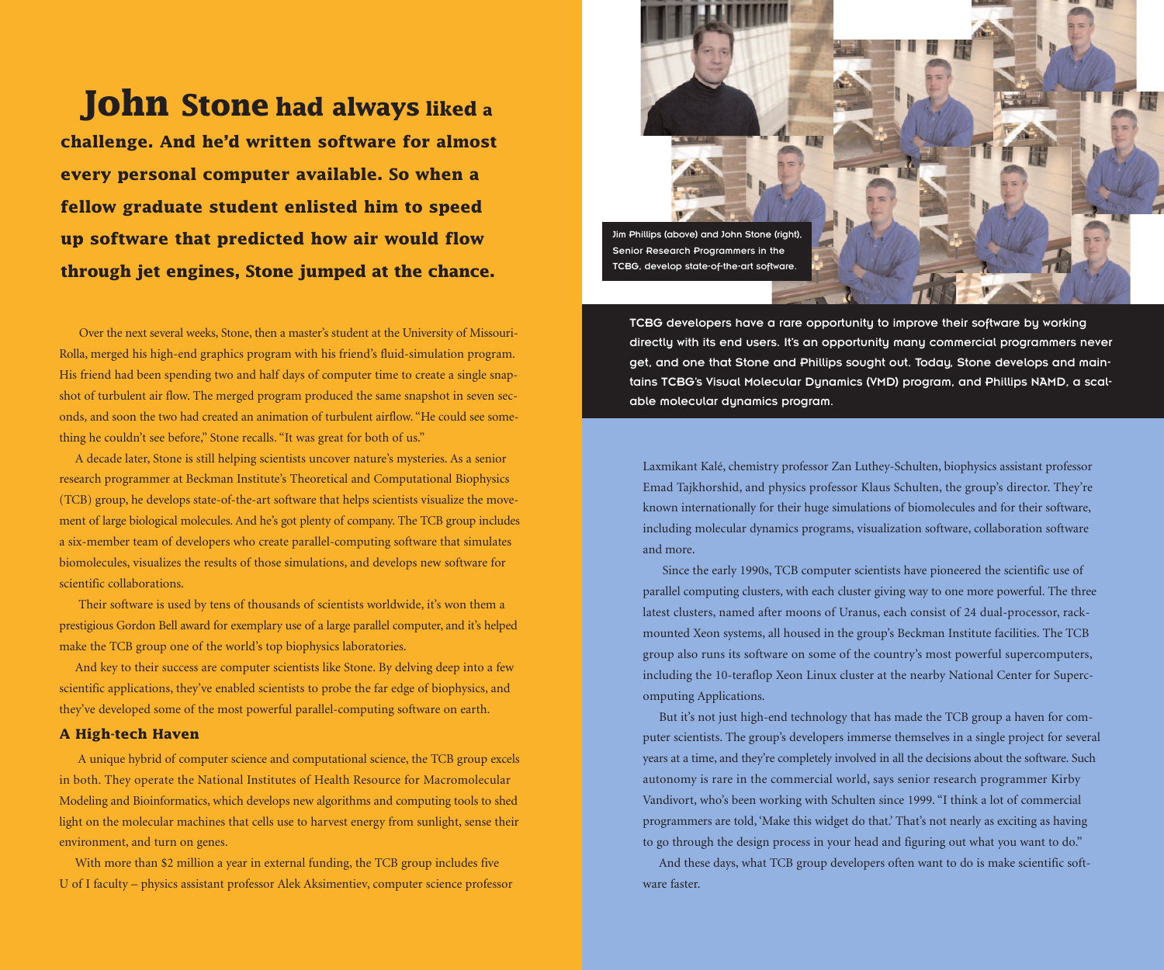# **John Stone had always liked <sup>a</sup>**

**challenge. And he'd written software for almost every personal computer available. So when a fellow graduate student enlisted him to speed up software that predicted how air would flow through jet engines, Stone jumped at the chance.**

Over the next several weeks, Stone, then a master's student at the University of Missouri-Rolla, merged his high-end graphics program with his friend's fluid-simulation program. His friend had been spending two and half days of computer time to create a single snapshot of turbulent air flow. The merged program produced the same snapshot in seven seconds, and soon the two had created an animation of turbulent airflow. "He could see something he couldn't see before," Stone recalls. "It was great for both of us."

A decade later, Stone is still helping scientists uncover nature's mysteries. As a senior research programmer at Beckman Institute's Theoretical and Computational Biophysics (TCB) group, he develops state-of-the-art software that helps scientists visualize the movement of large biological molecules. And he's got plenty of company. The TCB group includes a six-member team of developers who create parallel-computing software that simulates biomolecules, visualizes the results of those simulations, and develops new software for scientific collaborations.

Their software is used by tens of thousands of scientists worldwide, it's won them a prestigious Gordon Bell award for exemplary use of a large parallel computer, and it's helped make the TCB group one of the world's top biophysics laboratories.

And key to their success are computer scientists like Stone. By delving deep into a few scientific applications, they've enabled scientists to probe the far edge of biophysics, and they've developed some of the most powerful parallel-computing software on earth.

## **A High-tech Haven**

A unique hybrid of computer science and computational science, the TCB group excels in both. They operate the National Institutes of Health Resource for Macromolecular Modeling and Bioinformatics, which develops new algorithms and computing tools to shed light on the molecular machines that cells use to harvest energy from sunlight, sense their environment, and turn on genes.

With more than \$2 million a year in external funding, the TCB group includes five U of I faculty – physics assistant professor Alek Aksimentiev, computer science professor



TCBG developers have a rare opportunity to improve their software by working directly with its end users. It's an opportunity many commercial programmers never get, and one that Stone and Phillips sought out. Today, Stone develops and maintains TCBG's Visual Molecular Dynamics (VMD) program, and Phillips NAMD, a scalable molecular dynamics program.

Laxmikant Kalé, chemistry professor Zan Luthey-Schulten, biophysics assistant professor Emad Tajkhorshid, and physics professor Klaus Schulten, the group's director. They're known internationally for their huge simulations of biomolecules and for their software, including molecular dynamics programs, visualization software, collaboration software and more.

Since the early 1990s, TCB computer scientists have pioneered the scientific use of parallel computing clusters, with each cluster giving way to one more powerful. The three latest clusters, named after moons of Uranus, each consist of 24 dual-processor, rackmounted Xeon systems, all housed in the group's Beckman Institute facilities. The TCB group also runs its software on some of the country's most powerful supercomputers, including the 10-teraflop Xeon Linux cluster at the nearby National Center for Supercomputing Applications.

But it's not just high-end technology that has made the TCB group a haven for computer scientists. The group's developers immerse themselves in a single project for several years at a time, and they're completely involved in all the decisions about the software. Such autonomy is rare in the commercial world, says senior research programmer Kirby Vandivort, who's been working with Schulten since 1999. "I think a lot of commercial programmers are told, 'Make this widget do that.' That's not nearly as exciting as having to go through the design process in your head and figuring out what you want to do."

And these days, what TCB group developers often want to do is make scientific software faster.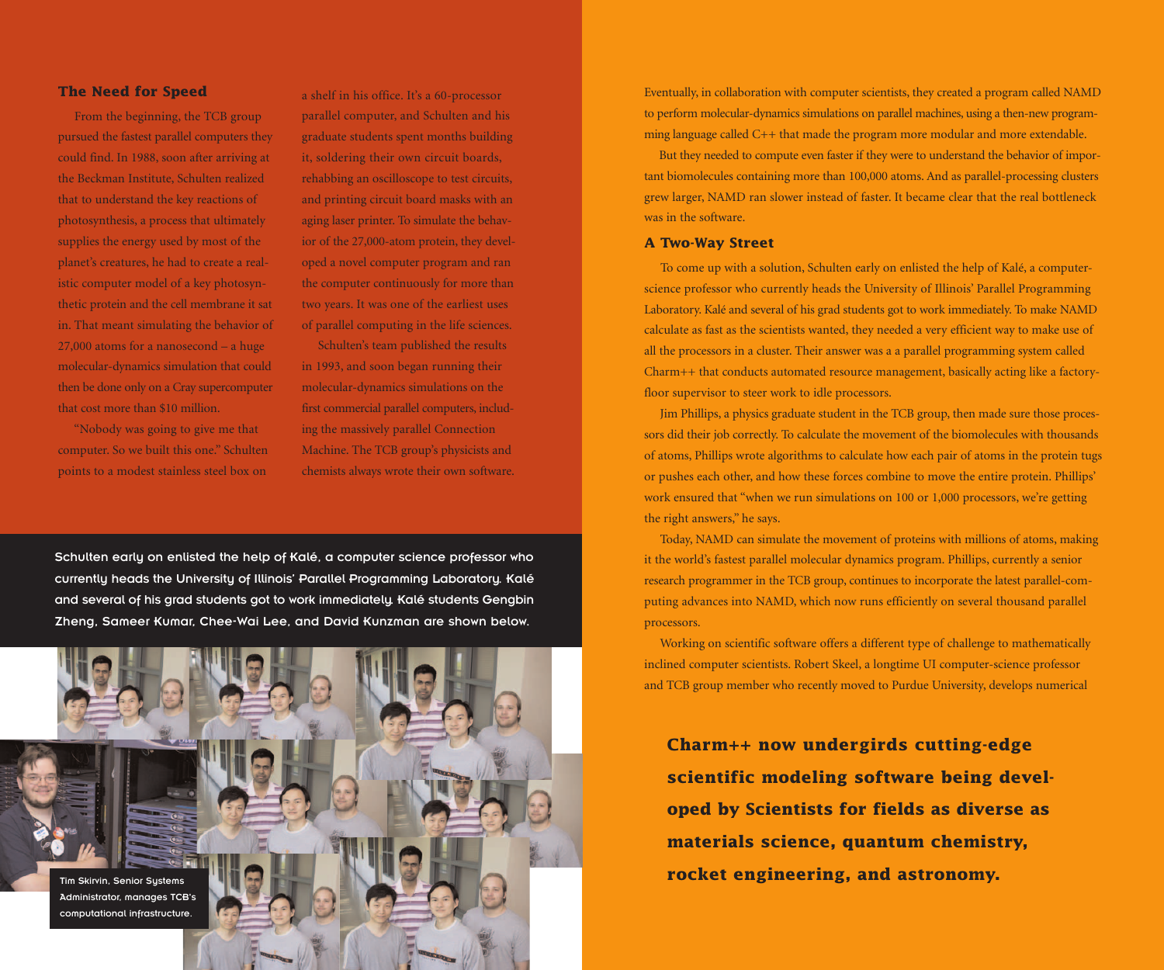### **The Need for Speed**

From the beginning, the TCB group pursued the fastest parallel computers they could find. In 1988, soon after arriving at the Beckman Institute, Schulten realized that to understand the key reactions of photosynthesis, a process that ultimately supplies the energy used by most of the planet's creatures, he had to create a realistic computer model of a key photosynthetic protein and the cell membrane it sat in. That meant simulating the behavior of 27,000 atoms for a nanosecond – a huge molecular-dynamics simulation that could then be done only on a Cray supercomputer that cost more than \$10 million.

"Nobody was going to give me that computer. So we built this one." Schulten points to a modest stainless steel box on

a shelf in his office. It's a 60-processor parallel computer, and Schulten and his graduate students spent months building it, soldering their own circuit boards, rehabbing an oscilloscope to test circuits, and printing circuit board masks with an aging laser printer. To simulate the behavior of the 27,000-atom protein, they developed a novel computer program and ran the computer continuously for more than two years. It was one of the earliest uses of parallel computing in the life sciences.

Schulten's team published the results in 1993, and soon began running their molecular-dynamics simulations on the first commercial parallel computers, including the massively parallel Connection Machine. The TCB group's physicists and chemists always wrote their own software.

Schulten early on enlisted the help of Kalé, a computer science professor who currently heads the University of Illinois' Parallel Programming Laboratory. Kalé and several of his grad students got to work immediately. Kalé students Gengbin Zheng, Sameer Kumar, Chee-Wai Lee, and David Kunzman are shown below.



Eventually, in collaboration with computer scientists, they created a program called NAMD to perform molecular-dynamics simulations on parallel machines, using a then-new programming language called C++ that made the program more modular and more extendable.

But they needed to compute even faster if they were to understand the behavior of important biomolecules containing more than 100,000 atoms. And as parallel-processing clusters grew larger, NAMD ran slower instead of faster. It became clear that the real bottleneck was in the software.

#### **A Two-Way Street**

To come up with a solution, Schulten early on enlisted the help of Kalé, a computerscience professor who currently heads the University of Illinois' Parallel Programming Laboratory. Kalé and several of his grad students got to work immediately. To make NAMD calculate as fast as the scientists wanted, they needed a very efficient way to make use of all the processors in a cluster. Their answer was a a parallel programming system called Charm++ that conducts automated resource management, basically acting like a factoryfloor supervisor to steer work to idle processors.

Jim Phillips, a physics graduate student in the TCB group, then made sure those processors did their job correctly. To calculate the movement of the biomolecules with thousands of atoms, Phillips wrote algorithms to calculate how each pair of atoms in the protein tugs or pushes each other, and how these forces combine to move the entire protein. Phillips' work ensured that "when we run simulations on 100 or 1,000 processors, we're getting the right answers," he says.

Today, NAMD can simulate the movement of proteins with millions of atoms, making it the world's fastest parallel molecular dynamics program. Phillips, currently a senior research programmer in the TCB group, continues to incorporate the latest parallel-computing advances into NAMD, which now runs efficiently on several thousand parallel processors.

Working on scientific software offers a different type of challenge to mathematically inclined computer scientists. Robert Skeel, a longtime UI computer-science professor and TCB group member who recently moved to Purdue University, develops numerical

**Charm++ now undergirds cutting-edge scientific modeling software being developed by Scientists for fields as diverse as materials science, quantum chemistry,**